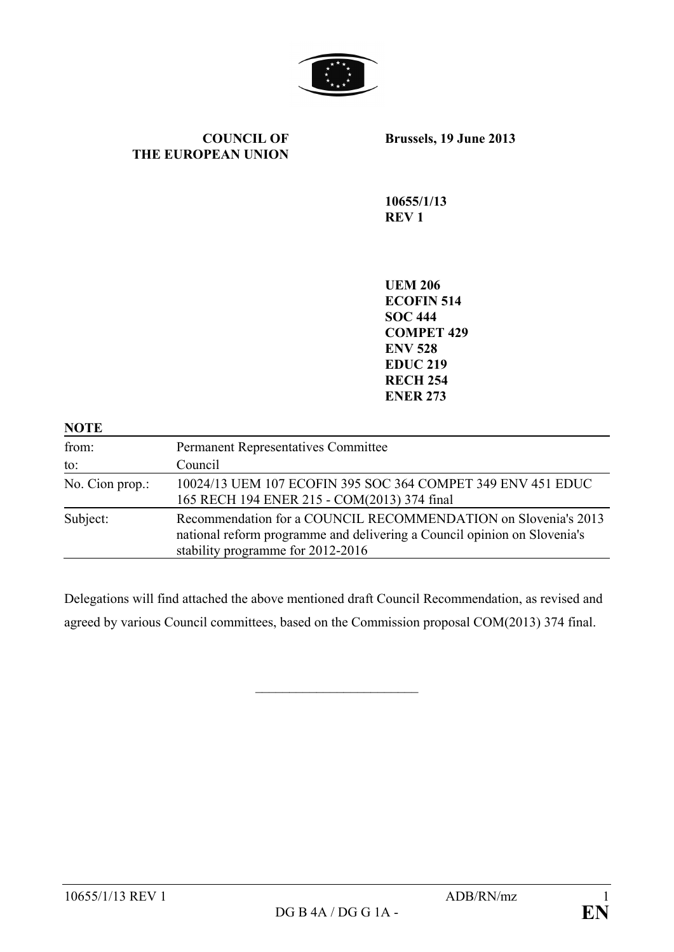

#### **COUNCIL OF THE EUROPEAN UNION**

**Brussels, 19 June 2013**

**10655/1/13 REV 1**

**UEM 206 ECOFIN 514 SOC 444 COMPET 429 ENV 528 EDUC 219 RECH 254 ENER 273**

| <b>NOTE</b>     |                                                                                                                                                                                 |
|-----------------|---------------------------------------------------------------------------------------------------------------------------------------------------------------------------------|
| from:           | <b>Permanent Representatives Committee</b>                                                                                                                                      |
| to:             | Council                                                                                                                                                                         |
| No. Cion prop.: | 10024/13 UEM 107 ECOFIN 395 SOC 364 COMPET 349 ENV 451 EDUC<br>165 RECH 194 ENER 215 - COM(2013) 374 final                                                                      |
| Subject:        | Recommendation for a COUNCIL RECOMMENDATION on Slovenia's 2013<br>national reform programme and delivering a Council opinion on Slovenia's<br>stability programme for 2012-2016 |

Delegations will find attached the above mentioned draft Council Recommendation, as revised and agreed by various Council committees, based on the Commission proposal COM(2013) 374 final.

 $\overline{\phantom{a}}$  , which is a set of the set of the set of the set of the set of the set of the set of the set of the set of the set of the set of the set of the set of the set of the set of the set of the set of the set of th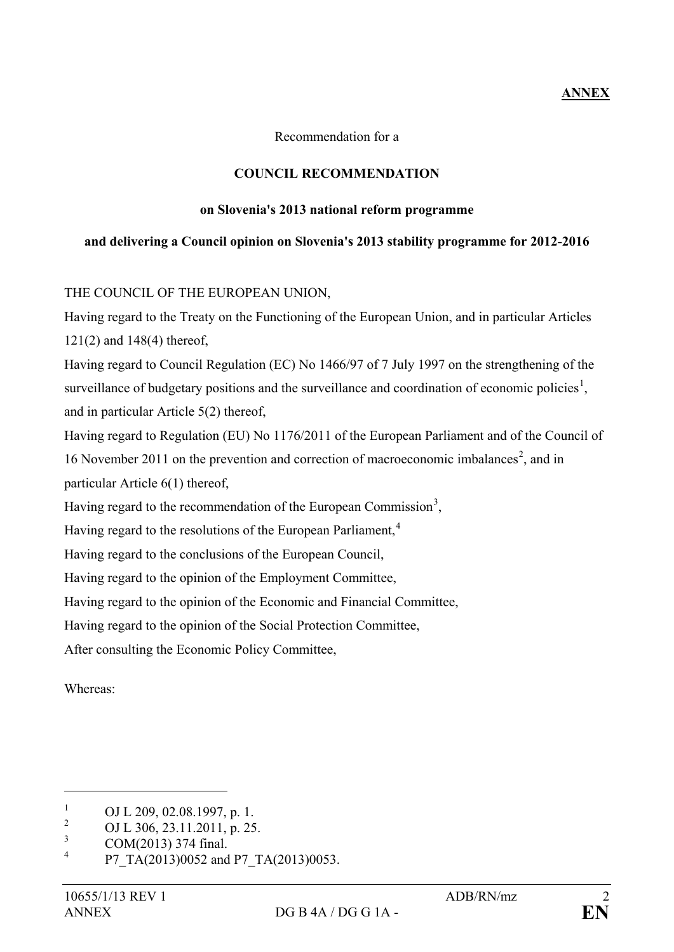# **ANNEX**

Recommendation for a

## **COUNCIL RECOMMENDATION**

#### **on Slovenia's 2013 national reform programme**

### **and delivering a Council opinion on Slovenia's 2013 stability programme for 2012-2016**

## THE COUNCIL OF THE EUROPEAN UNION,

Having regard to the Treaty on the Functioning of the European Union, and in particular Articles 121(2) and 148(4) thereof,

Having regard to Council Regulation (EC) No 1466/97 of 7 July 1997 on the strengthening of the surveillance of budgetary positions and the surveillance and coordination of economic policies<sup>[1](#page-1-0)</sup>, and in particular Article 5(2) thereof,

Having regard to Regulation (EU) No 1176/2011 of the European Parliament and of the Council of 16 November [2](#page-1-1)011 on the prevention and correction of macroeconomic imbalances<sup>2</sup>, and in particular Article 6(1) thereof,

Having regard to the recommendation of the European Commission<sup>[3](#page-1-2)</sup>,

Having regard to the resolutions of the European Parliament,<sup>[4](#page-1-3)</sup>

Having regard to the conclusions of the European Council,

Having regard to the opinion of the Employment Committee,

Having regard to the opinion of the Economic and Financial Committee,

Having regard to the opinion of the Social Protection Committee,

After consulting the Economic Policy Committee,

Whereas:

<span id="page-1-0"></span><sup>&</sup>lt;sup>1</sup> OJ L 209, 02.08.1997, p. 1.<br> $^{2}$  OJ L 206, 22, 11, 2011, p. 25

<span id="page-1-1"></span><sup>&</sup>lt;sup>2</sup> OJ L 306, 23.11.2011, p. 25.

<span id="page-1-2"></span> $\frac{3}{4}$  COM(2013) 374 final.

<span id="page-1-3"></span>P7\_TA(2013)0052 and P7\_TA(2013)0053.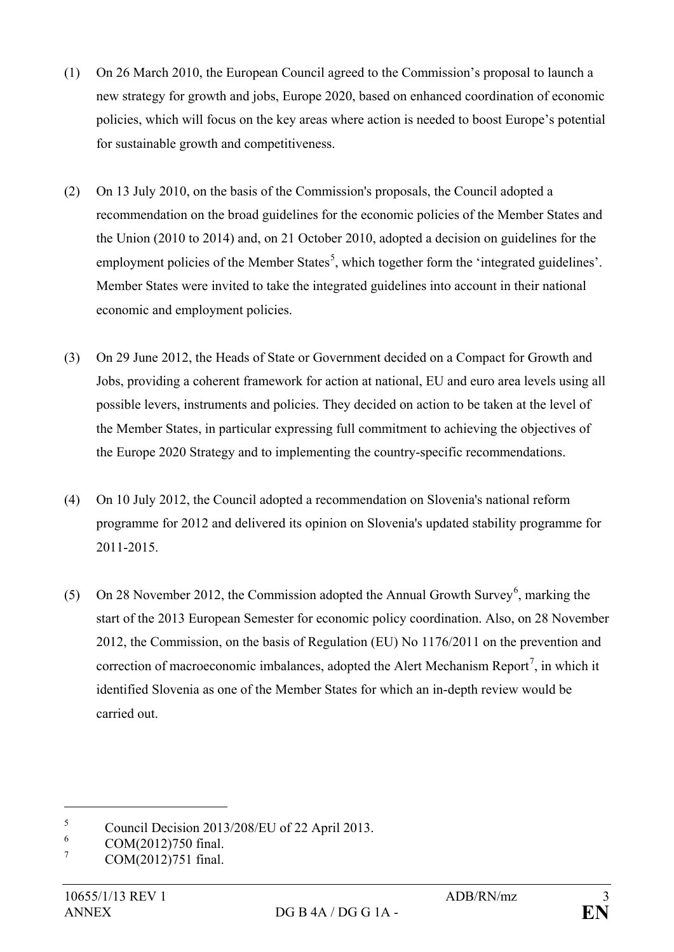- (1) On 26 March 2010, the European Council agreed to the Commission's proposal to launch a new strategy for growth and jobs, Europe 2020, based on enhanced coordination of economic policies, which will focus on the key areas where action is needed to boost Europe's potential for sustainable growth and competitiveness.
- (2) On 13 July 2010, on the basis of the Commission's proposals, the Council adopted a recommendation on the broad guidelines for the economic policies of the Member States and the Union (2010 to 2014) and, on 21 October 2010, adopted a decision on guidelines for the employment policies of the Member States<sup>[5](#page-2-0)</sup>, which together form the 'integrated guidelines'. Member States were invited to take the integrated guidelines into account in their national economic and employment policies.
- (3) On 29 June 2012, the Heads of State or Government decided on a Compact for Growth and Jobs, providing a coherent framework for action at national, EU and euro area levels using all possible levers, instruments and policies. They decided on action to be taken at the level of the Member States, in particular expressing full commitment to achieving the objectives of the Europe 2020 Strategy and to implementing the country-specific recommendations.
- (4) On 10 July 2012, the Council adopted a recommendation on Slovenia's national reform programme for 2012 and delivered its opinion on Slovenia's updated stability programme for 2011-2015.
- (5) On 28 November 2012, the Commission adopted the Annual Growth Survey<sup>[6](#page-2-1)</sup>, marking the start of the 2013 European Semester for economic policy coordination. Also, on 28 November 2012, the Commission, on the basis of Regulation (EU) No 1176/2011 on the prevention and correction of macroeconomic imbalances, adopted the Alert Mechanism Report<sup>[7](#page-2-2)</sup>, in which it identified Slovenia as one of the Member States for which an in-depth review would be carried out.

<span id="page-2-0"></span> $\frac{5}{6}$  Council Decision 2013/208/EU of 22 April 2013.

<span id="page-2-1"></span> $^{6}$  COM(2012)750 final.

<span id="page-2-2"></span>COM(2012)751 final.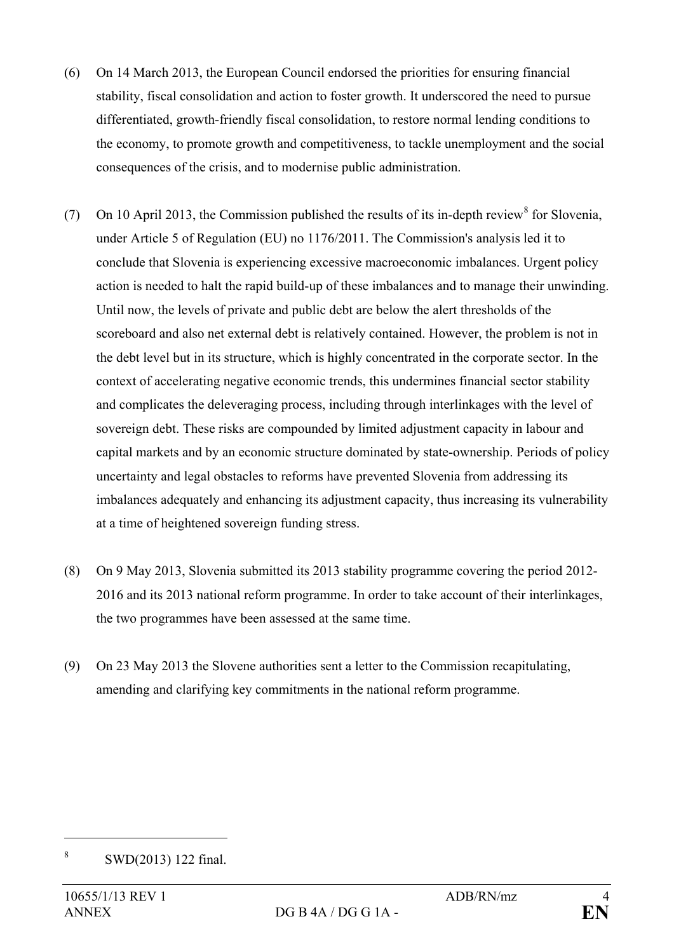- (6) On 14 March 2013, the European Council endorsed the priorities for ensuring financial stability, fiscal consolidation and action to foster growth. It underscored the need to pursue differentiated, growth-friendly fiscal consolidation, to restore normal lending conditions to the economy, to promote growth and competitiveness, to tackle unemployment and the social consequences of the crisis, and to modernise public administration.
- (7) On 10 April 2013, the Commission published the results of its in-depth review<sup>[8](#page-3-0)</sup> for Slovenia, under Article 5 of Regulation (EU) no 1176/2011. The Commission's analysis led it to conclude that Slovenia is experiencing excessive macroeconomic imbalances. Urgent policy action is needed to halt the rapid build-up of these imbalances and to manage their unwinding. Until now, the levels of private and public debt are below the alert thresholds of the scoreboard and also net external debt is relatively contained. However, the problem is not in the debt level but in its structure, which is highly concentrated in the corporate sector. In the context of accelerating negative economic trends, this undermines financial sector stability and complicates the deleveraging process, including through interlinkages with the level of sovereign debt. These risks are compounded by limited adjustment capacity in labour and capital markets and by an economic structure dominated by state-ownership. Periods of policy uncertainty and legal obstacles to reforms have prevented Slovenia from addressing its imbalances adequately and enhancing its adjustment capacity, thus increasing its vulnerability at a time of heightened sovereign funding stress.
- (8) On 9 May 2013, Slovenia submitted its 2013 stability programme covering the period 2012- 2016 and its 2013 national reform programme. In order to take account of their interlinkages, the two programmes have been assessed at the same time.
- (9) On 23 May 2013 the Slovene authorities sent a letter to the Commission recapitulating, amending and clarifying key commitments in the national reform programme.

<span id="page-3-0"></span><sup>8</sup> SWD(2013) 122 final.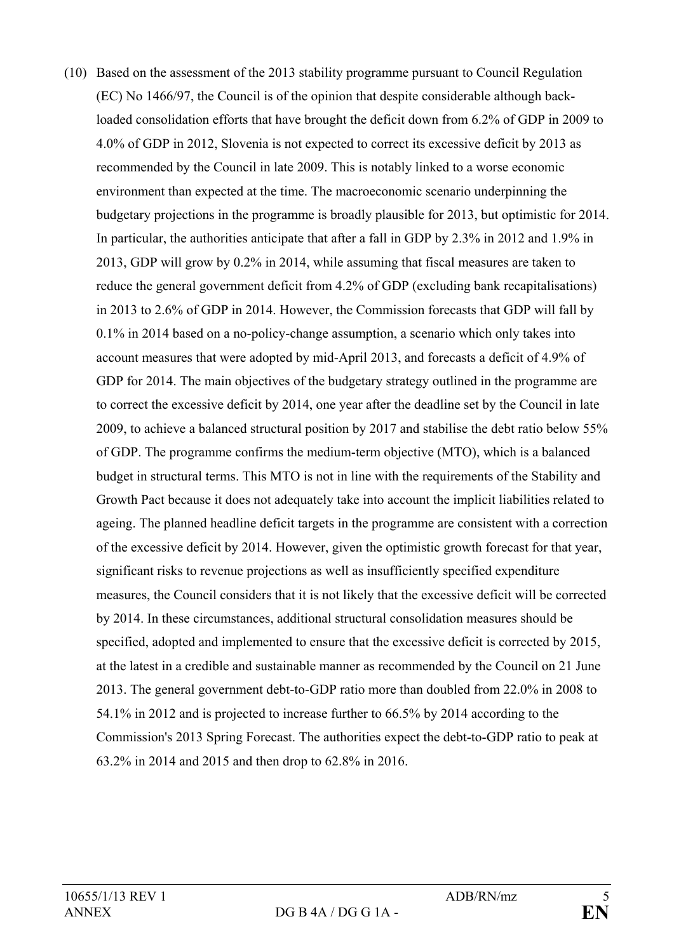(10) Based on the assessment of the 2013 stability programme pursuant to Council Regulation (EC) No 1466/97, the Council is of the opinion that despite considerable although backloaded consolidation efforts that have brought the deficit down from 6.2% of GDP in 2009 to 4.0% of GDP in 2012, Slovenia is not expected to correct its excessive deficit by 2013 as recommended by the Council in late 2009. This is notably linked to a worse economic environment than expected at the time. The macroeconomic scenario underpinning the budgetary projections in the programme is broadly plausible for 2013, but optimistic for 2014. In particular, the authorities anticipate that after a fall in GDP by 2.3% in 2012 and 1.9% in 2013, GDP will grow by 0.2% in 2014, while assuming that fiscal measures are taken to reduce the general government deficit from 4.2% of GDP (excluding bank recapitalisations) in 2013 to 2.6% of GDP in 2014. However, the Commission forecasts that GDP will fall by 0.1% in 2014 based on a no-policy-change assumption, a scenario which only takes into account measures that were adopted by mid-April 2013, and forecasts a deficit of 4.9% of GDP for 2014. The main objectives of the budgetary strategy outlined in the programme are to correct the excessive deficit by 2014, one year after the deadline set by the Council in late 2009, to achieve a balanced structural position by 2017 and stabilise the debt ratio below 55% of GDP. The programme confirms the medium-term objective (MTO), which is a balanced budget in structural terms. This MTO is not in line with the requirements of the Stability and Growth Pact because it does not adequately take into account the implicit liabilities related to ageing. The planned headline deficit targets in the programme are consistent with a correction of the excessive deficit by 2014. However, given the optimistic growth forecast for that year, significant risks to revenue projections as well as insufficiently specified expenditure measures, the Council considers that it is not likely that the excessive deficit will be corrected by 2014. In these circumstances, additional structural consolidation measures should be specified, adopted and implemented to ensure that the excessive deficit is corrected by 2015, at the latest in a credible and sustainable manner as recommended by the Council on 21 June 2013. The general government debt-to-GDP ratio more than doubled from 22.0% in 2008 to 54.1% in 2012 and is projected to increase further to 66.5% by 2014 according to the Commission's 2013 Spring Forecast. The authorities expect the debt-to-GDP ratio to peak at 63.2% in 2014 and 2015 and then drop to 62.8% in 2016.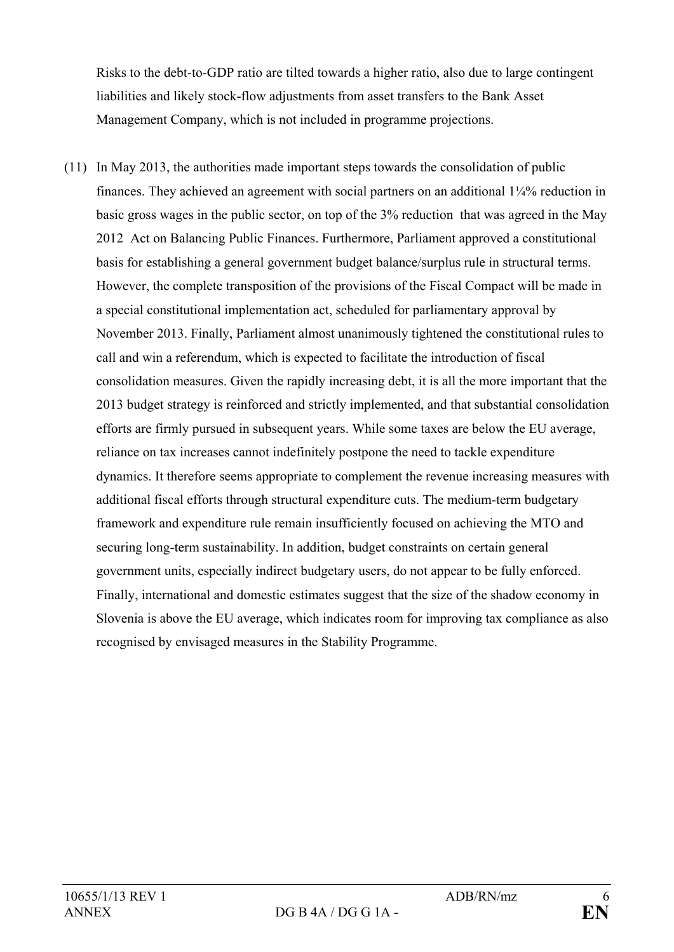Risks to the debt-to-GDP ratio are tilted towards a higher ratio, also due to large contingent liabilities and likely stock-flow adjustments from asset transfers to the Bank Asset Management Company, which is not included in programme projections.

(11) In May 2013, the authorities made important steps towards the consolidation of public finances. They achieved an agreement with social partners on an additional 1¼% reduction in basic gross wages in the public sector, on top of the 3% reduction that was agreed in the May 2012 Act on Balancing Public Finances. Furthermore, Parliament approved a constitutional basis for establishing a general government budget balance/surplus rule in structural terms. However, the complete transposition of the provisions of the Fiscal Compact will be made in a special constitutional implementation act, scheduled for parliamentary approval by November 2013. Finally, Parliament almost unanimously tightened the constitutional rules to call and win a referendum, which is expected to facilitate the introduction of fiscal consolidation measures. Given the rapidly increasing debt, it is all the more important that the 2013 budget strategy is reinforced and strictly implemented, and that substantial consolidation efforts are firmly pursued in subsequent years. While some taxes are below the EU average, reliance on tax increases cannot indefinitely postpone the need to tackle expenditure dynamics. It therefore seems appropriate to complement the revenue increasing measures with additional fiscal efforts through structural expenditure cuts. The medium-term budgetary framework and expenditure rule remain insufficiently focused on achieving the MTO and securing long-term sustainability. In addition, budget constraints on certain general government units, especially indirect budgetary users, do not appear to be fully enforced. Finally, international and domestic estimates suggest that the size of the shadow economy in Slovenia is above the EU average, which indicates room for improving tax compliance as also recognised by envisaged measures in the Stability Programme.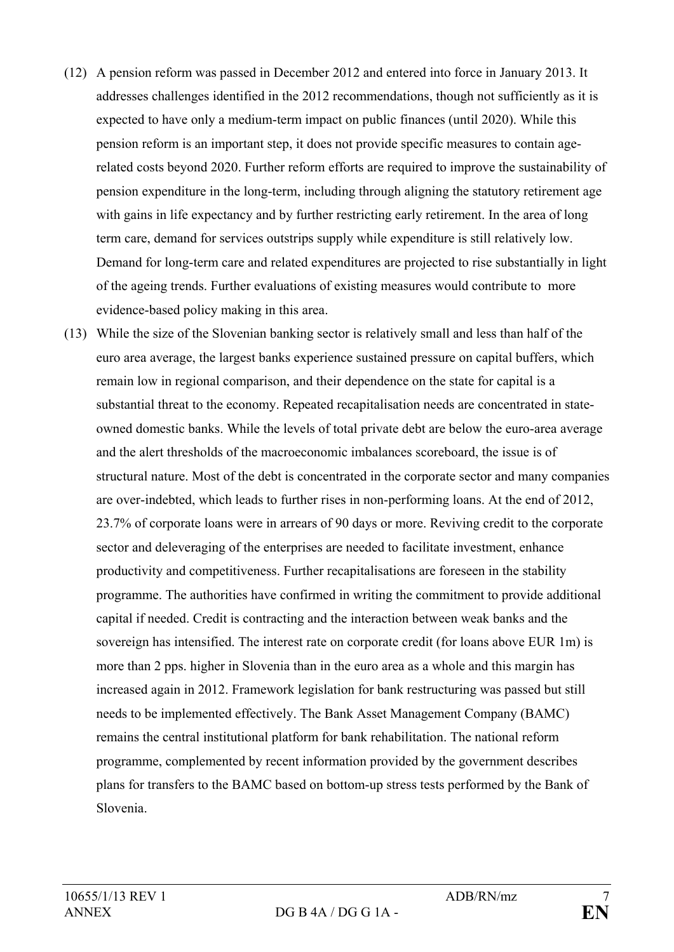- (12) A pension reform was passed in December 2012 and entered into force in January 2013. It addresses challenges identified in the 2012 recommendations, though not sufficiently as it is expected to have only a medium-term impact on public finances (until 2020). While this pension reform is an important step, it does not provide specific measures to contain agerelated costs beyond 2020. Further reform efforts are required to improve the sustainability of pension expenditure in the long-term, including through aligning the statutory retirement age with gains in life expectancy and by further restricting early retirement. In the area of long term care, demand for services outstrips supply while expenditure is still relatively low. Demand for long-term care and related expenditures are projected to rise substantially in light of the ageing trends. Further evaluations of existing measures would contribute to more evidence-based policy making in this area.
- (13) While the size of the Slovenian banking sector is relatively small and less than half of the euro area average, the largest banks experience sustained pressure on capital buffers, which remain low in regional comparison, and their dependence on the state for capital is a substantial threat to the economy. Repeated recapitalisation needs are concentrated in stateowned domestic banks. While the levels of total private debt are below the euro-area average and the alert thresholds of the macroeconomic imbalances scoreboard, the issue is of structural nature. Most of the debt is concentrated in the corporate sector and many companies are over-indebted, which leads to further rises in non-performing loans. At the end of 2012, 23.7% of corporate loans were in arrears of 90 days or more. Reviving credit to the corporate sector and deleveraging of the enterprises are needed to facilitate investment, enhance productivity and competitiveness. Further recapitalisations are foreseen in the stability programme. The authorities have confirmed in writing the commitment to provide additional capital if needed. Credit is contracting and the interaction between weak banks and the sovereign has intensified. The interest rate on corporate credit (for loans above EUR 1m) is more than 2 pps. higher in Slovenia than in the euro area as a whole and this margin has increased again in 2012. Framework legislation for bank restructuring was passed but still needs to be implemented effectively. The Bank Asset Management Company (BAMC) remains the central institutional platform for bank rehabilitation. The national reform programme, complemented by recent information provided by the government describes plans for transfers to the BAMC based on bottom-up stress tests performed by the Bank of Slovenia.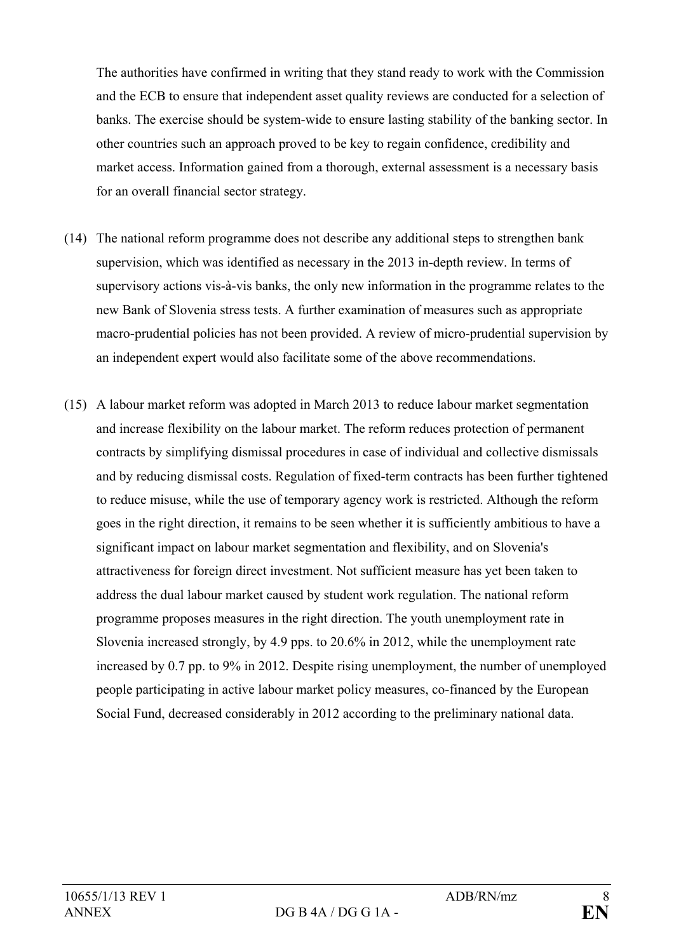The authorities have confirmed in writing that they stand ready to work with the Commission and the ECB to ensure that independent asset quality reviews are conducted for a selection of banks. The exercise should be system-wide to ensure lasting stability of the banking sector. In other countries such an approach proved to be key to regain confidence, credibility and market access. Information gained from a thorough, external assessment is a necessary basis for an overall financial sector strategy.

- (14) The national reform programme does not describe any additional steps to strengthen bank supervision, which was identified as necessary in the 2013 in-depth review. In terms of supervisory actions vis-à-vis banks, the only new information in the programme relates to the new Bank of Slovenia stress tests. A further examination of measures such as appropriate macro-prudential policies has not been provided. A review of micro-prudential supervision by an independent expert would also facilitate some of the above recommendations.
- (15) A labour market reform was adopted in March 2013 to reduce labour market segmentation and increase flexibility on the labour market. The reform reduces protection of permanent contracts by simplifying dismissal procedures in case of individual and collective dismissals and by reducing dismissal costs. Regulation of fixed-term contracts has been further tightened to reduce misuse, while the use of temporary agency work is restricted. Although the reform goes in the right direction, it remains to be seen whether it is sufficiently ambitious to have a significant impact on labour market segmentation and flexibility, and on Slovenia's attractiveness for foreign direct investment. Not sufficient measure has yet been taken to address the dual labour market caused by student work regulation. The national reform programme proposes measures in the right direction. The youth unemployment rate in Slovenia increased strongly, by 4.9 pps. to 20.6% in 2012, while the unemployment rate increased by 0.7 pp. to 9% in 2012. Despite rising unemployment, the number of unemployed people participating in active labour market policy measures, co-financed by the European Social Fund, decreased considerably in 2012 according to the preliminary national data.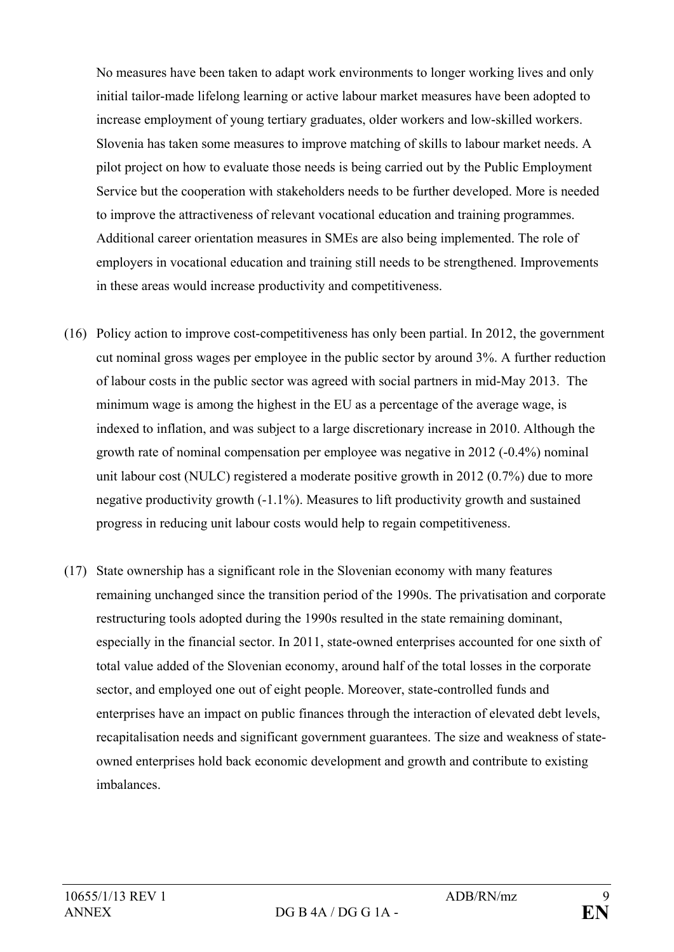No measures have been taken to adapt work environments to longer working lives and only initial tailor-made lifelong learning or active labour market measures have been adopted to increase employment of young tertiary graduates, older workers and low-skilled workers. Slovenia has taken some measures to improve matching of skills to labour market needs. A pilot project on how to evaluate those needs is being carried out by the Public Employment Service but the cooperation with stakeholders needs to be further developed. More is needed to improve the attractiveness of relevant vocational education and training programmes. Additional career orientation measures in SMEs are also being implemented. The role of employers in vocational education and training still needs to be strengthened. Improvements in these areas would increase productivity and competitiveness.

- (16) Policy action to improve cost-competitiveness has only been partial. In 2012, the government cut nominal gross wages per employee in the public sector by around 3%. A further reduction of labour costs in the public sector was agreed with social partners in mid-May 2013. The minimum wage is among the highest in the EU as a percentage of the average wage, is indexed to inflation, and was subject to a large discretionary increase in 2010. Although the growth rate of nominal compensation per employee was negative in 2012 (-0.4%) nominal unit labour cost (NULC) registered a moderate positive growth in 2012 (0.7%) due to more negative productivity growth (-1.1%). Measures to lift productivity growth and sustained progress in reducing unit labour costs would help to regain competitiveness.
- (17) State ownership has a significant role in the Slovenian economy with many features remaining unchanged since the transition period of the 1990s. The privatisation and corporate restructuring tools adopted during the 1990s resulted in the state remaining dominant, especially in the financial sector. In 2011, state-owned enterprises accounted for one sixth of total value added of the Slovenian economy, around half of the total losses in the corporate sector, and employed one out of eight people. Moreover, state-controlled funds and enterprises have an impact on public finances through the interaction of elevated debt levels, recapitalisation needs and significant government guarantees. The size and weakness of stateowned enterprises hold back economic development and growth and contribute to existing imbalances.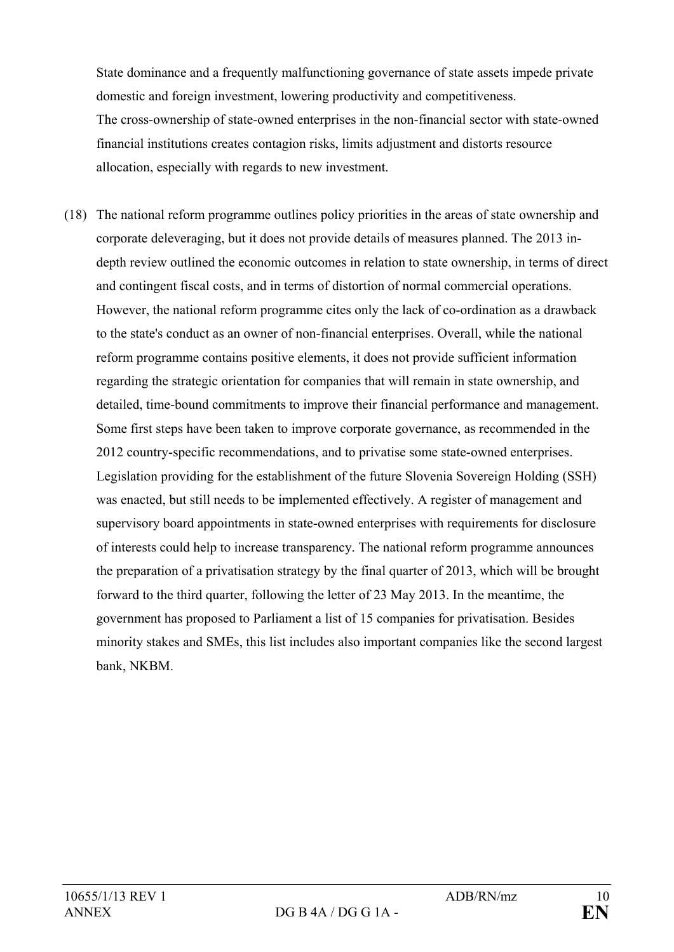State dominance and a frequently malfunctioning governance of state assets impede private domestic and foreign investment, lowering productivity and competitiveness. The cross-ownership of state-owned enterprises in the non-financial sector with state-owned financial institutions creates contagion risks, limits adjustment and distorts resource allocation, especially with regards to new investment.

(18) The national reform programme outlines policy priorities in the areas of state ownership and corporate deleveraging, but it does not provide details of measures planned. The 2013 indepth review outlined the economic outcomes in relation to state ownership, in terms of direct and contingent fiscal costs, and in terms of distortion of normal commercial operations. However, the national reform programme cites only the lack of co-ordination as a drawback to the state's conduct as an owner of non-financial enterprises. Overall, while the national reform programme contains positive elements, it does not provide sufficient information regarding the strategic orientation for companies that will remain in state ownership, and detailed, time-bound commitments to improve their financial performance and management. Some first steps have been taken to improve corporate governance, as recommended in the 2012 country-specific recommendations, and to privatise some state-owned enterprises. Legislation providing for the establishment of the future Slovenia Sovereign Holding (SSH) was enacted, but still needs to be implemented effectively. A register of management and supervisory board appointments in state-owned enterprises with requirements for disclosure of interests could help to increase transparency. The national reform programme announces the preparation of a privatisation strategy by the final quarter of 2013, which will be brought forward to the third quarter, following the letter of 23 May 2013. In the meantime, the government has proposed to Parliament a list of 15 companies for privatisation. Besides minority stakes and SMEs, this list includes also important companies like the second largest bank, NKBM.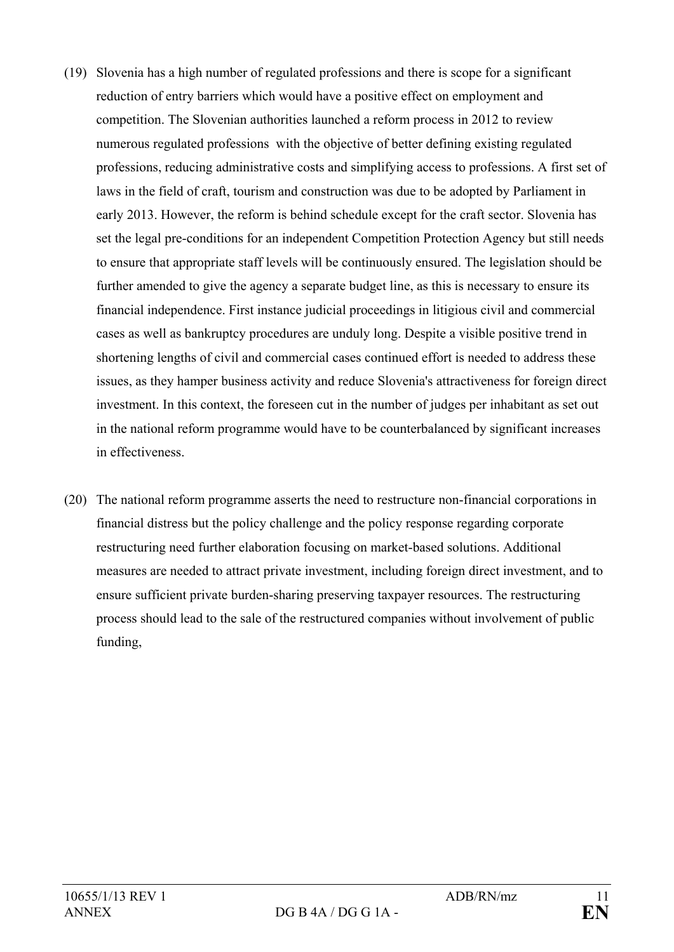- (19) Slovenia has a high number of regulated professions and there is scope for a significant reduction of entry barriers which would have a positive effect on employment and competition. The Slovenian authorities launched a reform process in 2012 to review numerous regulated professions with the objective of better defining existing regulated professions, reducing administrative costs and simplifying access to professions. A first set of laws in the field of craft, tourism and construction was due to be adopted by Parliament in early 2013. However, the reform is behind schedule except for the craft sector. Slovenia has set the legal pre-conditions for an independent Competition Protection Agency but still needs to ensure that appropriate staff levels will be continuously ensured. The legislation should be further amended to give the agency a separate budget line, as this is necessary to ensure its financial independence. First instance judicial proceedings in litigious civil and commercial cases as well as bankruptcy procedures are unduly long. Despite a visible positive trend in shortening lengths of civil and commercial cases continued effort is needed to address these issues, as they hamper business activity and reduce Slovenia's attractiveness for foreign direct investment. In this context, the foreseen cut in the number of judges per inhabitant as set out in the national reform programme would have to be counterbalanced by significant increases in effectiveness.
- (20) The national reform programme asserts the need to restructure non-financial corporations in financial distress but the policy challenge and the policy response regarding corporate restructuring need further elaboration focusing on market-based solutions. Additional measures are needed to attract private investment, including foreign direct investment, and to ensure sufficient private burden-sharing preserving taxpayer resources. The restructuring process should lead to the sale of the restructured companies without involvement of public funding,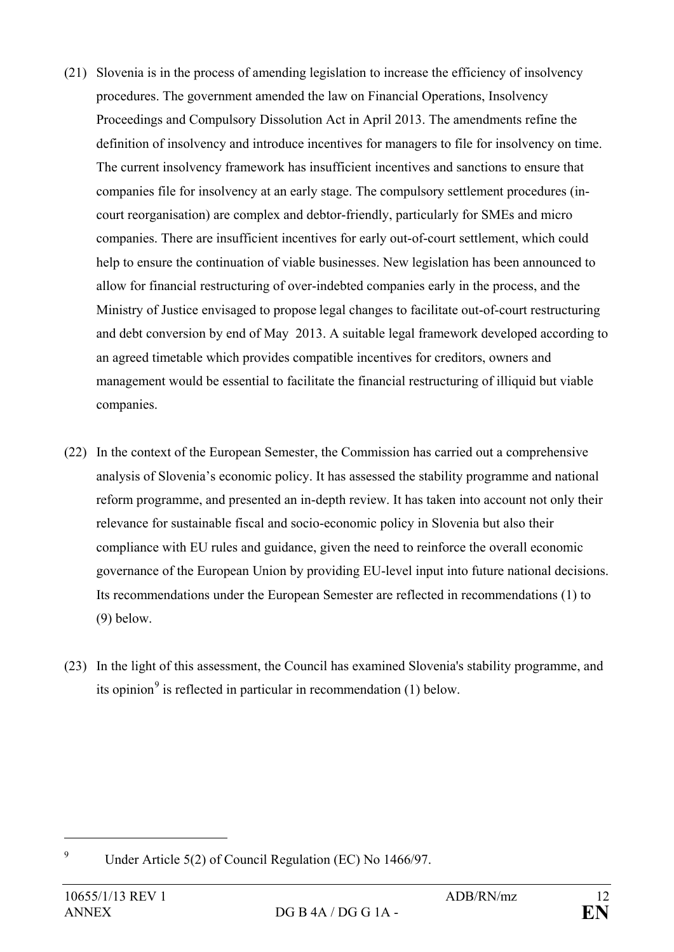- (21) Slovenia is in the process of amending legislation to increase the efficiency of insolvency procedures. The government amended the law on Financial Operations, Insolvency Proceedings and Compulsory Dissolution Act in April 2013. The amendments refine the definition of insolvency and introduce incentives for managers to file for insolvency on time. The current insolvency framework has insufficient incentives and sanctions to ensure that companies file for insolvency at an early stage. The compulsory settlement procedures (incourt reorganisation) are complex and debtor-friendly, particularly for SMEs and micro companies. There are insufficient incentives for early out-of-court settlement, which could help to ensure the continuation of viable businesses. New legislation has been announced to allow for financial restructuring of over-indebted companies early in the process, and the Ministry of Justice envisaged to propose legal changes to facilitate out-of-court restructuring and debt conversion by end of May 2013. A suitable legal framework developed according to an agreed timetable which provides compatible incentives for creditors, owners and management would be essential to facilitate the financial restructuring of illiquid but viable companies.
- (22) In the context of the European Semester, the Commission has carried out a comprehensive analysis of Slovenia's economic policy. It has assessed the stability programme and national reform programme, and presented an in-depth review. It has taken into account not only their relevance for sustainable fiscal and socio-economic policy in Slovenia but also their compliance with EU rules and guidance, given the need to reinforce the overall economic governance of the European Union by providing EU-level input into future national decisions. Its recommendations under the European Semester are reflected in recommendations (1) to (9) below.
- (23) In the light of this assessment, the Council has examined Slovenia's stability programme, and its opinion<sup>[9](#page-11-0)</sup> is reflected in particular in recommendation  $(1)$  below.

<span id="page-11-0"></span><sup>9</sup> Under Article 5(2) of Council Regulation (EC) No 1466/97.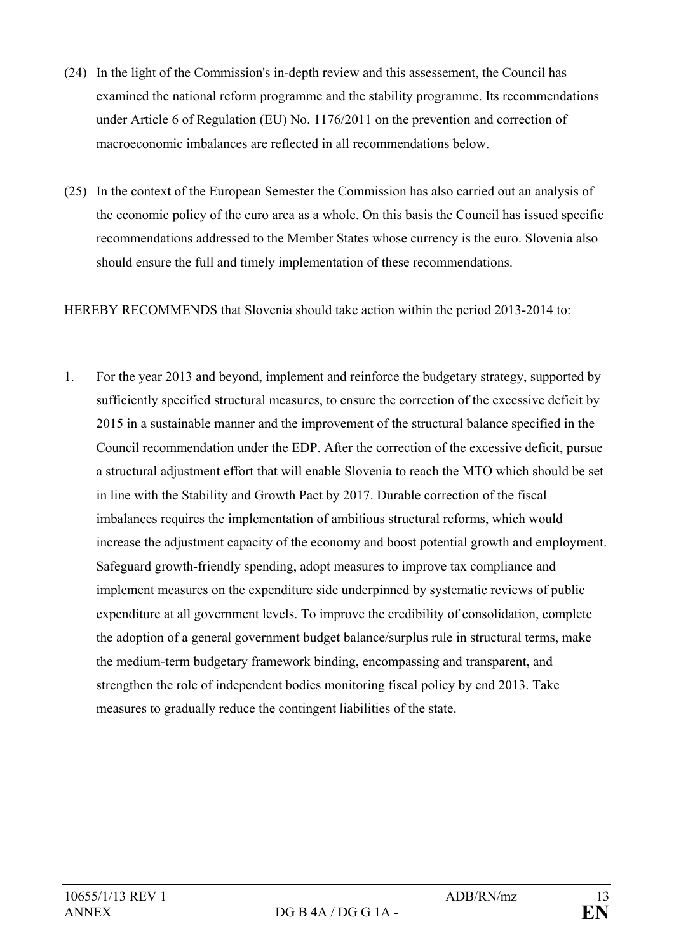- (24) In the light of the Commission's in-depth review and this assessement, the Council has examined the national reform programme and the stability programme. Its recommendations under Article 6 of Regulation (EU) No. 1176/2011 on the prevention and correction of macroeconomic imbalances are reflected in all recommendations below.
- (25) In the context of the European Semester the Commission has also carried out an analysis of the economic policy of the euro area as a whole. On this basis the Council has issued specific recommendations addressed to the Member States whose currency is the euro. Slovenia also should ensure the full and timely implementation of these recommendations.

HEREBY RECOMMENDS that Slovenia should take action within the period 2013-2014 to:

1. For the year 2013 and beyond, implement and reinforce the budgetary strategy, supported by sufficiently specified structural measures, to ensure the correction of the excessive deficit by 2015 in a sustainable manner and the improvement of the structural balance specified in the Council recommendation under the EDP. After the correction of the excessive deficit, pursue a structural adjustment effort that will enable Slovenia to reach the MTO which should be set in line with the Stability and Growth Pact by 2017. Durable correction of the fiscal imbalances requires the implementation of ambitious structural reforms, which would increase the adjustment capacity of the economy and boost potential growth and employment. Safeguard growth-friendly spending, adopt measures to improve tax compliance and implement measures on the expenditure side underpinned by systematic reviews of public expenditure at all government levels. To improve the credibility of consolidation, complete the adoption of a general government budget balance/surplus rule in structural terms, make the medium-term budgetary framework binding, encompassing and transparent, and strengthen the role of independent bodies monitoring fiscal policy by end 2013. Take measures to gradually reduce the contingent liabilities of the state.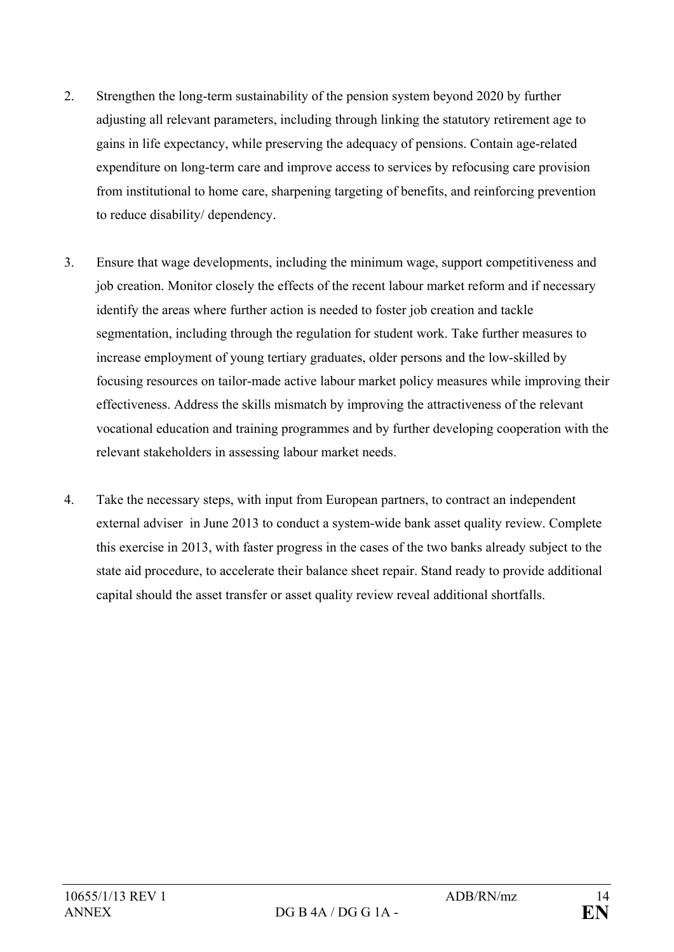- 2. Strengthen the long-term sustainability of the pension system beyond 2020 by further adjusting all relevant parameters, including through linking the statutory retirement age to gains in life expectancy, while preserving the adequacy of pensions. Contain age-related expenditure on long-term care and improve access to services by refocusing care provision from institutional to home care, sharpening targeting of benefits, and reinforcing prevention to reduce disability/ dependency.
- 3. Ensure that wage developments, including the minimum wage, support competitiveness and job creation. Monitor closely the effects of the recent labour market reform and if necessary identify the areas where further action is needed to foster job creation and tackle segmentation, including through the regulation for student work. Take further measures to increase employment of young tertiary graduates, older persons and the low-skilled by focusing resources on tailor-made active labour market policy measures while improving their effectiveness. Address the skills mismatch by improving the attractiveness of the relevant vocational education and training programmes and by further developing cooperation with the relevant stakeholders in assessing labour market needs.
- 4. Take the necessary steps, with input from European partners, to contract an independent external adviser in June 2013 to conduct a system-wide bank asset quality review. Complete this exercise in 2013, with faster progress in the cases of the two banks already subject to the state aid procedure, to accelerate their balance sheet repair. Stand ready to provide additional capital should the asset transfer or asset quality review reveal additional shortfalls.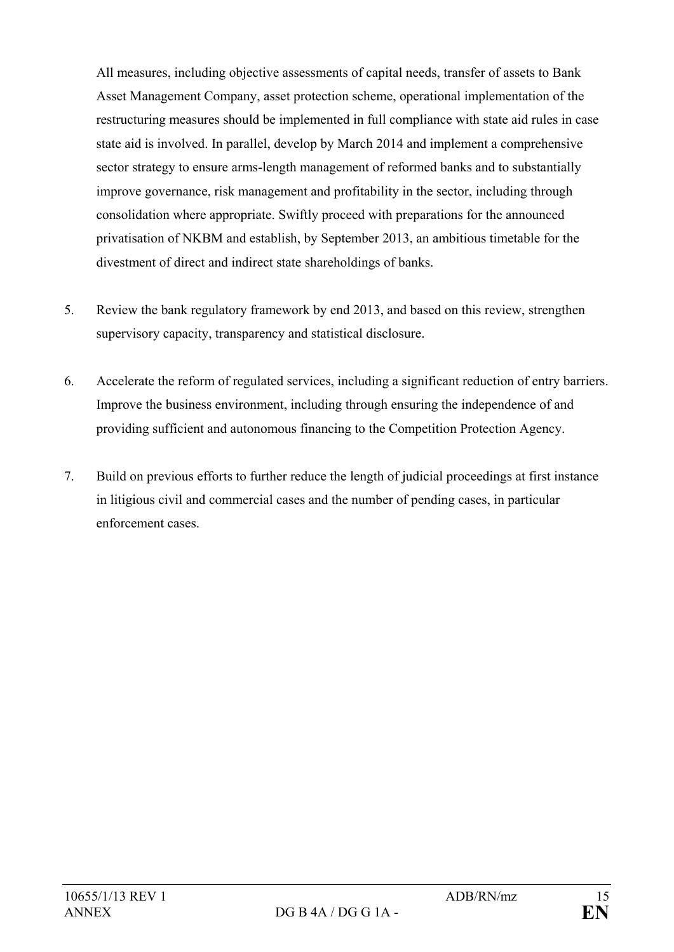All measures, including objective assessments of capital needs, transfer of assets to Bank Asset Management Company, asset protection scheme, operational implementation of the restructuring measures should be implemented in full compliance with state aid rules in case state aid is involved. In parallel, develop by March 2014 and implement a comprehensive sector strategy to ensure arms-length management of reformed banks and to substantially improve governance, risk management and profitability in the sector, including through consolidation where appropriate. Swiftly proceed with preparations for the announced privatisation of NKBM and establish, by September 2013, an ambitious timetable for the divestment of direct and indirect state shareholdings of banks.

- 5. Review the bank regulatory framework by end 2013, and based on this review, strengthen supervisory capacity, transparency and statistical disclosure.
- 6. Accelerate the reform of regulated services, including a significant reduction of entry barriers. Improve the business environment, including through ensuring the independence of and providing sufficient and autonomous financing to the Competition Protection Agency.
- 7. Build on previous efforts to further reduce the length of judicial proceedings at first instance in litigious civil and commercial cases and the number of pending cases, in particular enforcement cases.